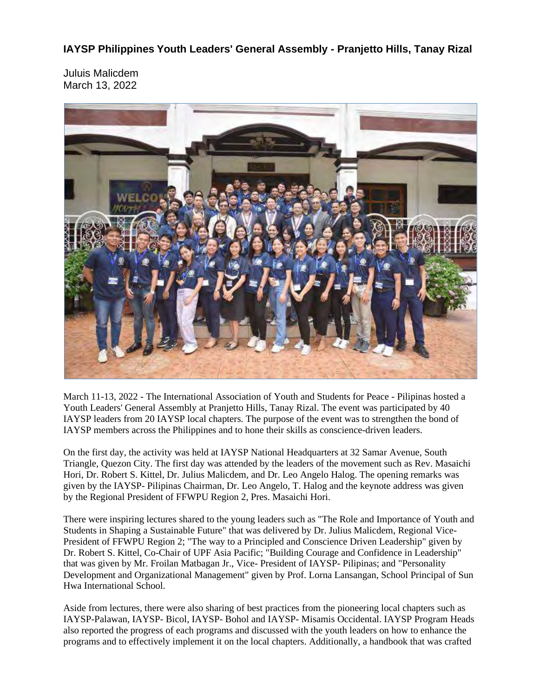**IAYSP Philippines Youth Leaders' General Assembly - Pranjetto Hills, Tanay Rizal**

Juluis Malicdem March 13, 2022



March 11-13, 2022 - The International Association of Youth and Students for Peace - Pilipinas hosted a Youth Leaders' General Assembly at Pranjetto Hills, Tanay Rizal. The event was participated by 40 IAYSP leaders from 20 IAYSP local chapters. The purpose of the event was to strengthen the bond of IAYSP members across the Philippines and to hone their skills as conscience-driven leaders.

On the first day, the activity was held at IAYSP National Headquarters at 32 Samar Avenue, South Triangle, Quezon City. The first day was attended by the leaders of the movement such as Rev. Masaichi Hori, Dr. Robert S. Kittel, Dr. Julius Malicdem, and Dr. Leo Angelo Halog. The opening remarks was given by the IAYSP- Pilipinas Chairman, Dr. Leo Angelo, T. Halog and the keynote address was given by the Regional President of FFWPU Region 2, Pres. Masaichi Hori.

There were inspiring lectures shared to the young leaders such as "The Role and Importance of Youth and Students in Shaping a Sustainable Future" that was delivered by Dr. Julius Malicdem, Regional Vice-President of FFWPU Region 2; "The way to a Principled and Conscience Driven Leadership" given by Dr. Robert S. Kittel, Co-Chair of UPF Asia Pacific; "Building Courage and Confidence in Leadership" that was given by Mr. Froilan Matbagan Jr., Vice- President of IAYSP- Pilipinas; and "Personality Development and Organizational Management" given by Prof. Lorna Lansangan, School Principal of Sun Hwa International School.

Aside from lectures, there were also sharing of best practices from the pioneering local chapters such as IAYSP-Palawan, IAYSP- Bicol, IAYSP- Bohol and IAYSP- Misamis Occidental. IAYSP Program Heads also reported the progress of each programs and discussed with the youth leaders on how to enhance the programs and to effectively implement it on the local chapters. Additionally, a handbook that was crafted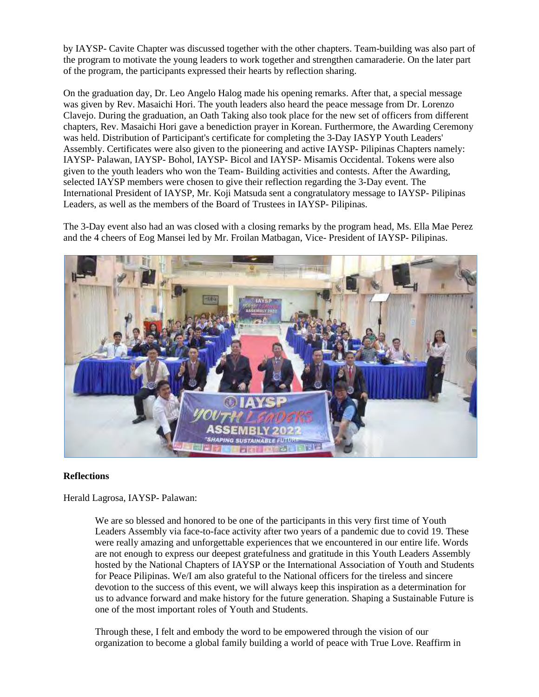by IAYSP- Cavite Chapter was discussed together with the other chapters. Team-building was also part of the program to motivate the young leaders to work together and strengthen camaraderie. On the later part of the program, the participants expressed their hearts by reflection sharing.

On the graduation day, Dr. Leo Angelo Halog made his opening remarks. After that, a special message was given by Rev. Masaichi Hori. The youth leaders also heard the peace message from Dr. Lorenzo Clavejo. During the graduation, an Oath Taking also took place for the new set of officers from different chapters, Rev. Masaichi Hori gave a benediction prayer in Korean. Furthermore, the Awarding Ceremony was held. Distribution of Participant's certificate for completing the 3-Day IASYP Youth Leaders' Assembly. Certificates were also given to the pioneering and active IAYSP- Pilipinas Chapters namely: IAYSP- Palawan, IAYSP- Bohol, IAYSP- Bicol and IAYSP- Misamis Occidental. Tokens were also given to the youth leaders who won the Team- Building activities and contests. After the Awarding, selected IAYSP members were chosen to give their reflection regarding the 3-Day event. The International President of IAYSP, Mr. Koji Matsuda sent a congratulatory message to IAYSP- Pilipinas Leaders, as well as the members of the Board of Trustees in IAYSP- Pilipinas.

The 3-Day event also had an was closed with a closing remarks by the program head, Ms. Ella Mae Perez and the 4 cheers of Eog Mansei led by Mr. Froilan Matbagan, Vice- President of IAYSP- Pilipinas.



## **Reflections**

Herald Lagrosa, IAYSP- Palawan:

We are so blessed and honored to be one of the participants in this very first time of Youth Leaders Assembly via face-to-face activity after two years of a pandemic due to covid 19. These were really amazing and unforgettable experiences that we encountered in our entire life. Words are not enough to express our deepest gratefulness and gratitude in this Youth Leaders Assembly hosted by the National Chapters of IAYSP or the International Association of Youth and Students for Peace Pilipinas. We/I am also grateful to the National officers for the tireless and sincere devotion to the success of this event, we will always keep this inspiration as a determination for us to advance forward and make history for the future generation. Shaping a Sustainable Future is one of the most important roles of Youth and Students.

Through these, I felt and embody the word to be empowered through the vision of our organization to become a global family building a world of peace with True Love. Reaffirm in